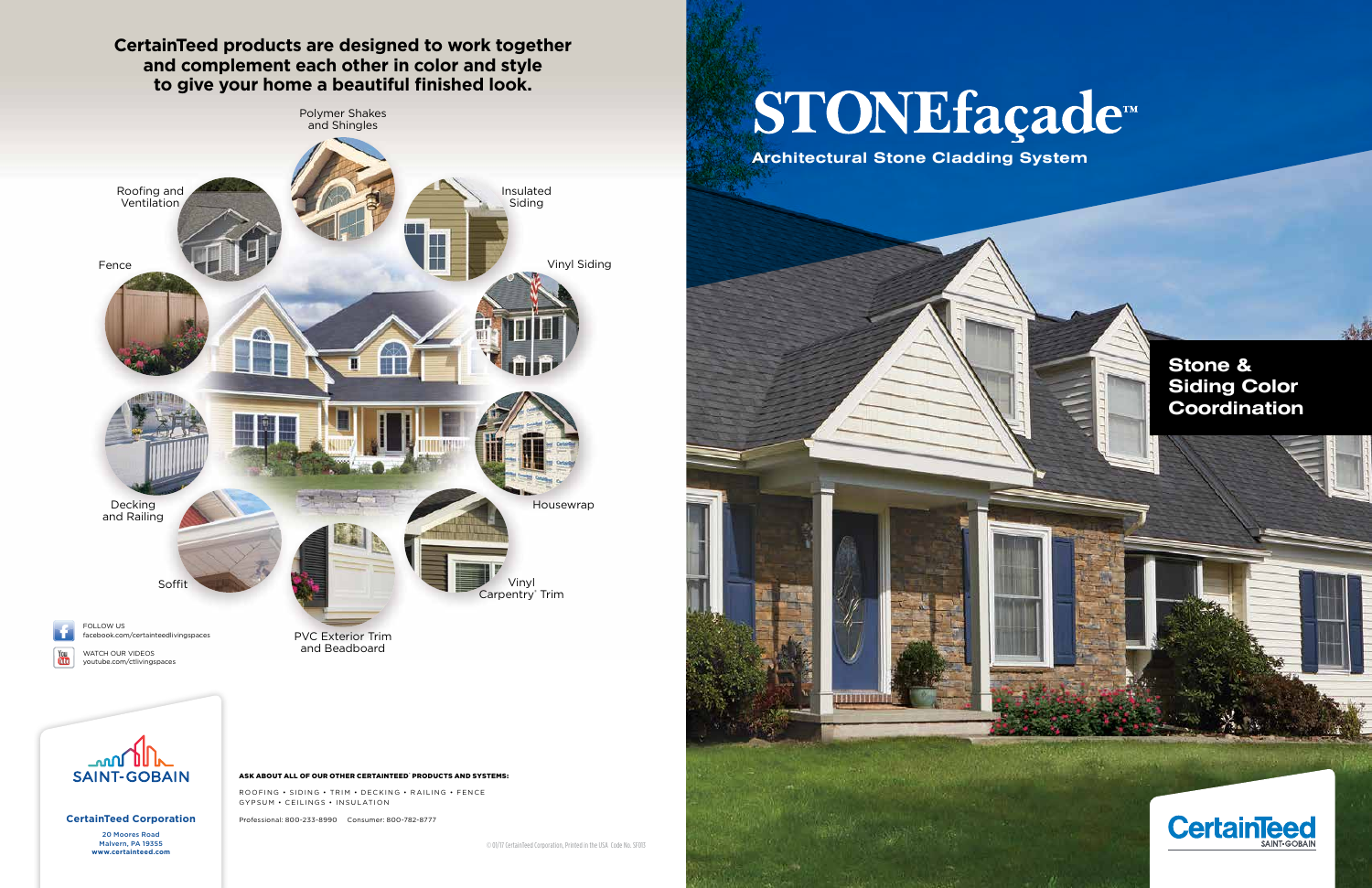#### **CertainTeed products are designed to work together and complement each other in color and style to give your home a beautiful finished look.**

**CertainTeed Corporation** 20 Moores Road Malvern, PA 19355<br>www.certainteed.com

You<br>Tube

ROOFING • SIDING • TRIM • DECKING • RAILING • FENCE GYPSUM • CEILINGS • INSULATION



# STONEfaçade<sup>™</sup>

Professional: 800-233-8990 Consumer: 800-782-8777

**W** 01/17 CertainTeed Corporation, Printed in the USA Code No. SF013



**Architectural Stone Cladding System Architectural Stone Cladding System**



#### **Stone & Siding Color Coordination**

冰道